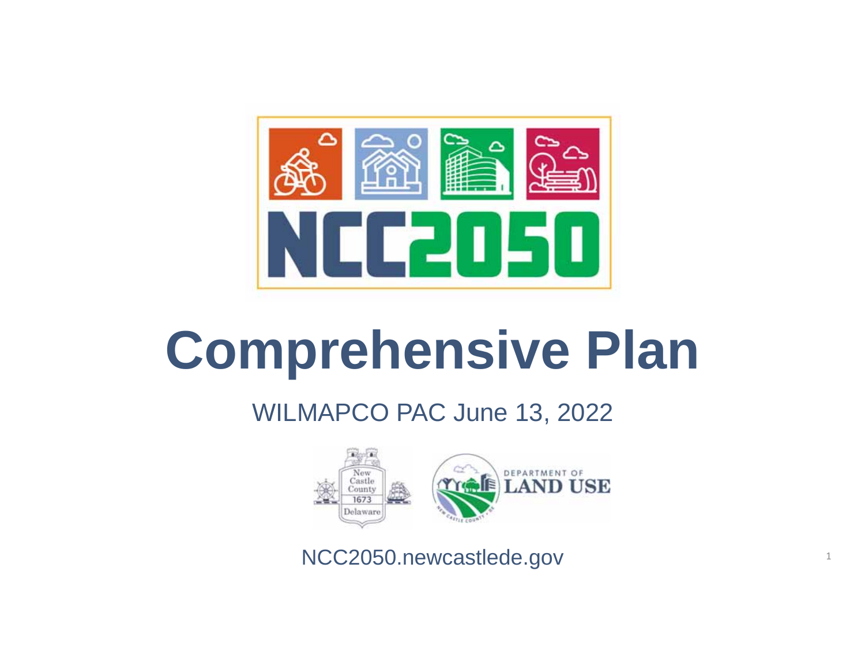

# **Comprehensive Plan**

#### WILMAPCO PAC June 13, 2022



NCC2050.newcastlede.gov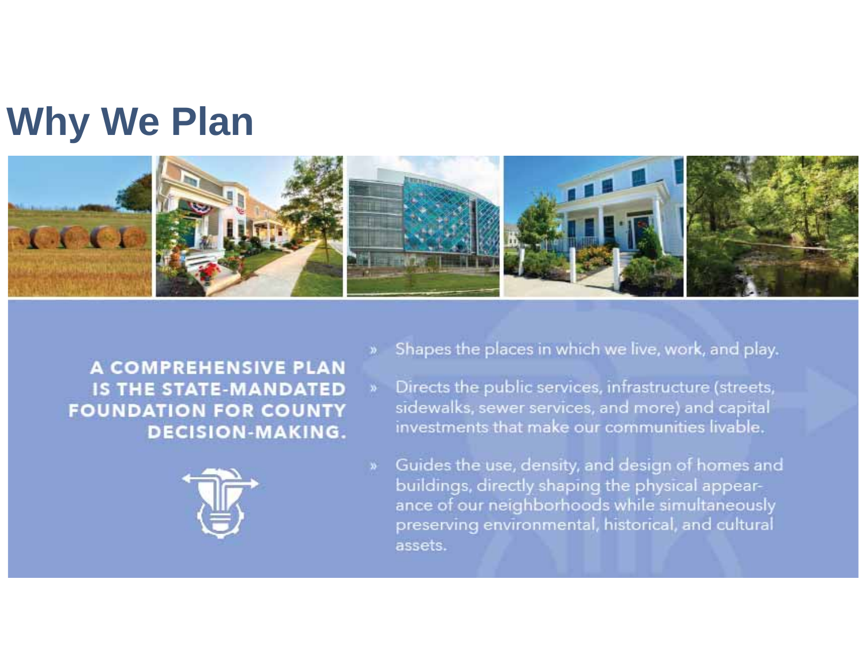#### **Why We Plan**



A COMPREHENSIVE PLAN **IS THE STATE-MANDATED FOUNDATION FOR COUNTY DECISION-MAKING.** 



- Shapes the places in which we live, work, and play.
- Directs the public services, infrastructure (streets,  $\mathbf{y}_i$ sidewalks, sewer services, and more) and capital investments that make our communities livable.
- Guides the use, density, and design of homes and buildings, directly shaping the physical appearance of our neighborhoods while simultaneously preserving environmental, historical, and cultural assets.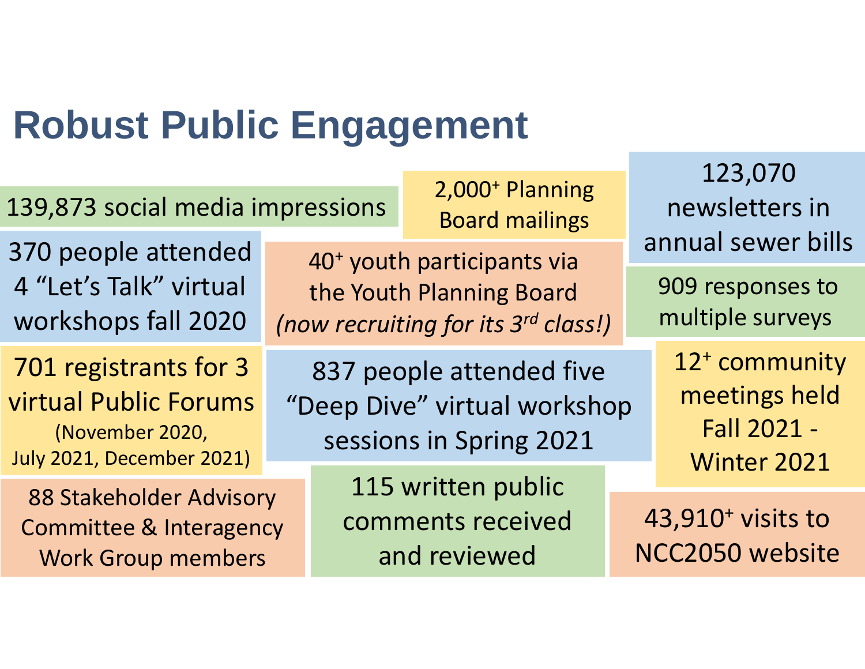### **Robust Public Engagement**

| 139,873 social media impressions                                                                      | 2,000 <sup>+</sup> Planning<br><b>Board mailings</b>                                                      |                                                         | 123,070<br>newsletters in<br>annual sewer bills<br>909 responses to<br>multiple surveys |                                                                          |  |
|-------------------------------------------------------------------------------------------------------|-----------------------------------------------------------------------------------------------------------|---------------------------------------------------------|-----------------------------------------------------------------------------------------|--------------------------------------------------------------------------|--|
| 370 people attended<br>4 "Let's Talk" virtual<br>workshops fall 2020                                  | 40 <sup>+</sup> youth participants via<br>the Youth Planning Board<br>(now recruiting for its 3rd class!) |                                                         |                                                                                         |                                                                          |  |
| 701 registrants for 3<br>virtual Public Forums<br>(November 2020,<br><b>July 2021, December 2021)</b> | 837 people attended five<br>"Deep Dive" virtual workshop<br>sessions in Spring 2021                       |                                                         |                                                                                         | 12 <sup>+</sup> community<br>meetings held<br>Fall 2021 -<br>Winter 2021 |  |
| 88 Stakeholder Advisory<br><b>Committee &amp; Interagency</b><br><b>Work Group members</b>            |                                                                                                           | 115 written public<br>comments received<br>and reviewed |                                                                                         | 43,910 <sup>+</sup> visits to<br>NCC2050 website                         |  |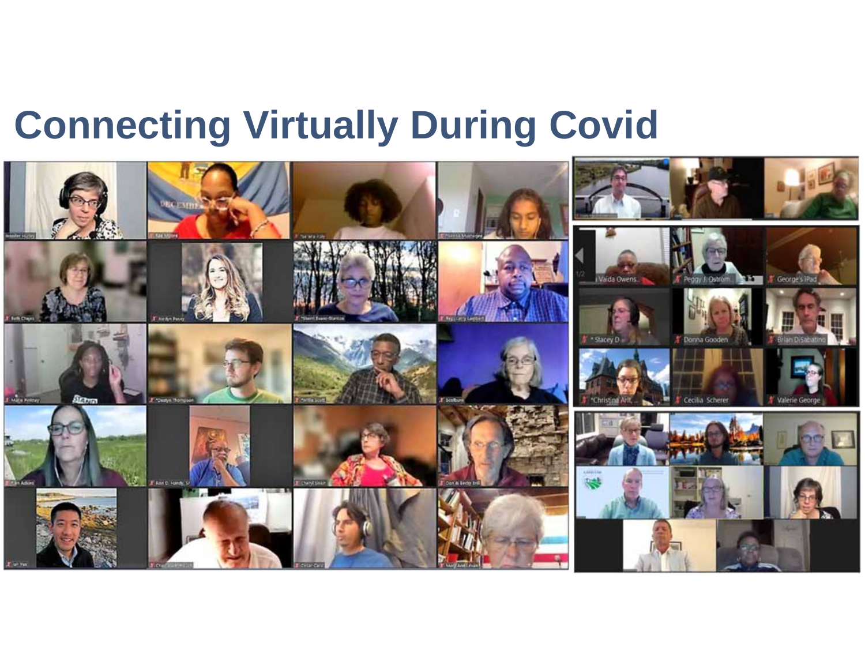### **Connecting Virtually During Covid**

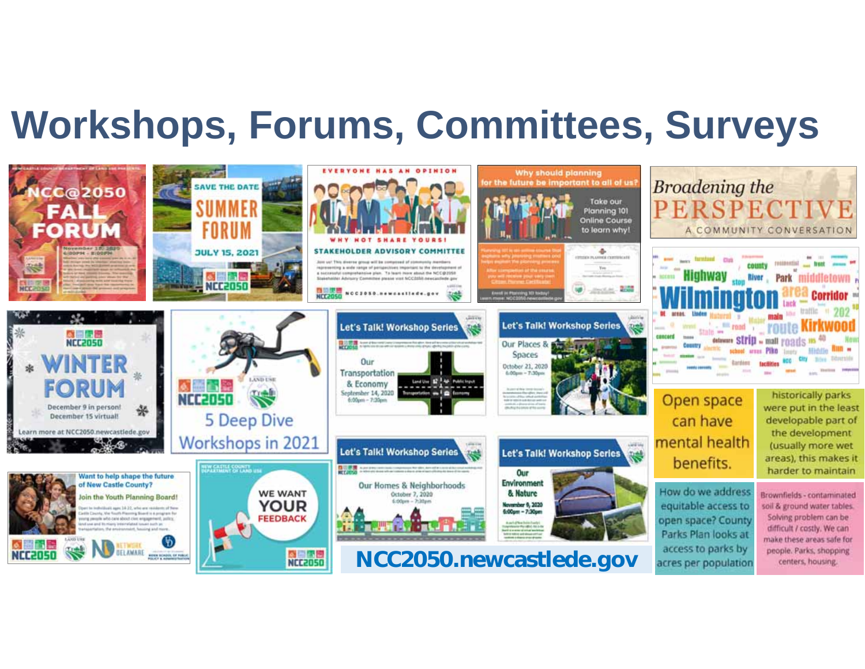### **Workshops, Forums, Committees, Surveys**

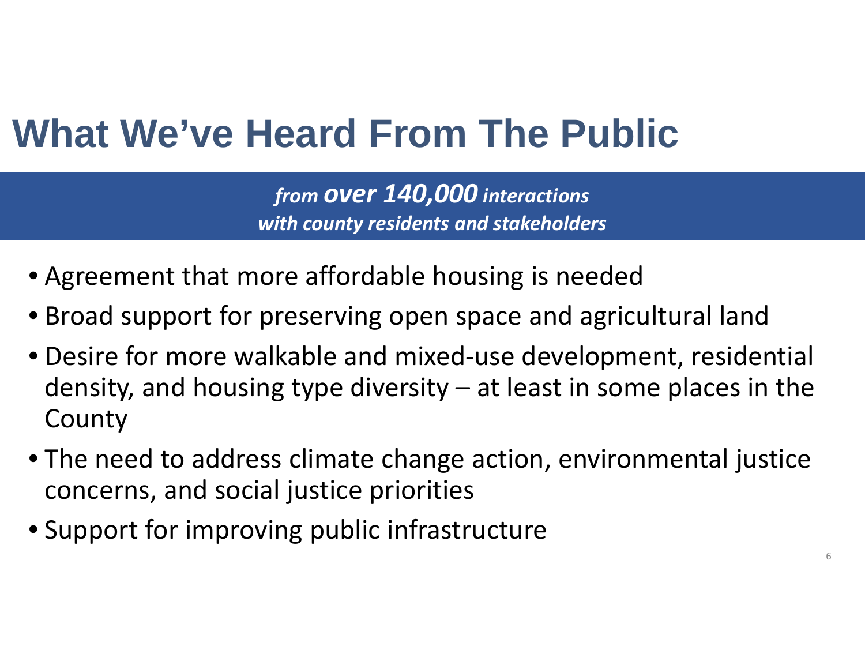### **What We've Heard From The Public**

*from over 140,000 interactions with county residents and stakeholders*

- Agreement that more affordable housing is needed
- Broad support for preserving open space and agricultural land
- Desire for more walkable and mixed‐use development, residential density, and housing type diversity  $-$  at least in some places in the County
- The need to address climate change action, environmental justice concerns, and social justice priorities
- Support for improving public infrastructure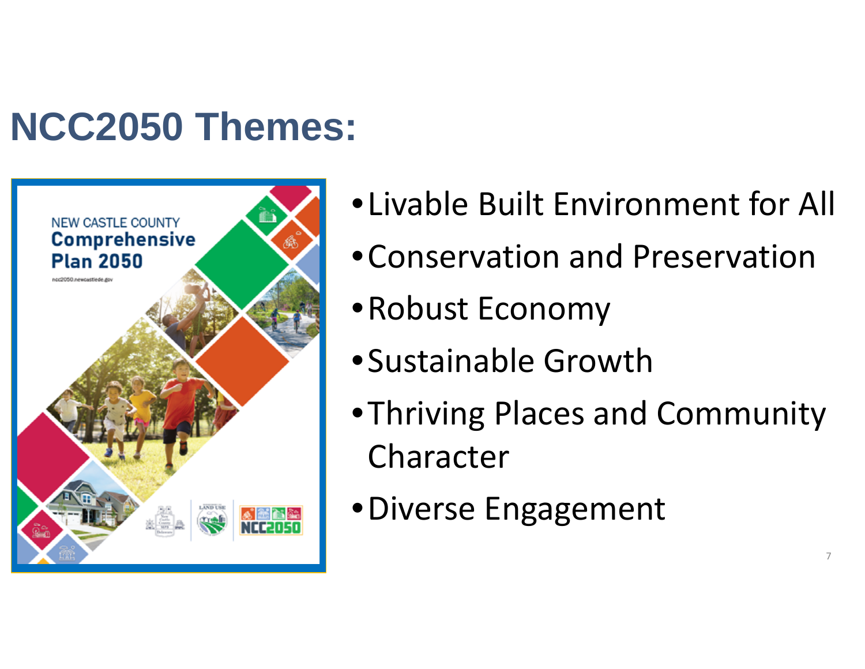### **NCC2050 Themes:**



- •Livable Built Environment for All
- •Conservation and Preservation
- •Robust Economy
- •Sustainable Growth
- •Thriving Places and Community Character

7

•Diverse Engagement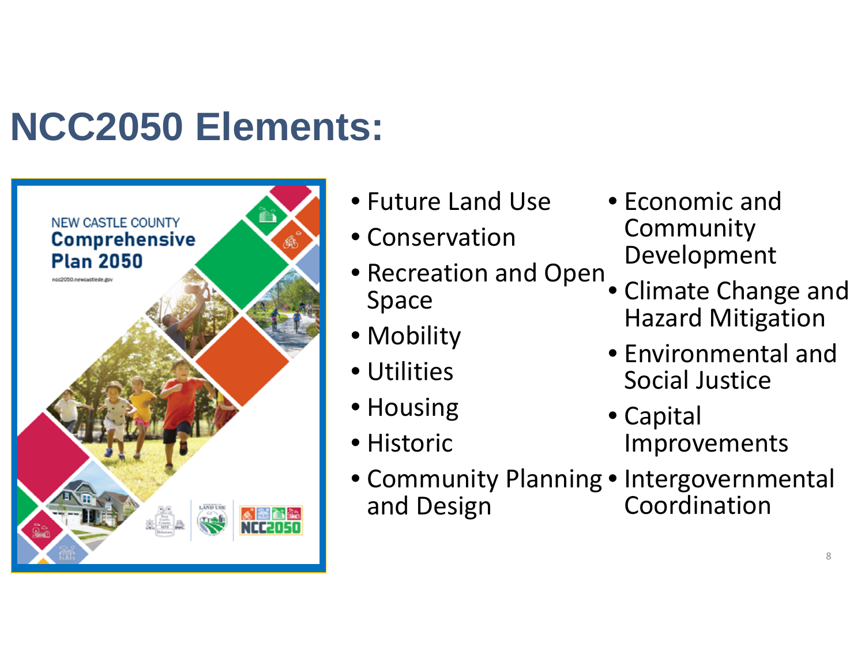### **NCC2050 Elements:**



- Future Land Use
- Conservation
- Recreation and Open Space
- Mobility
- Utilities
- Housing
- Historic
- Economic andCommunity Development
- Climate Change and Hazard Mitigation
- Environmental andSocial Justice
- Capital Improvements
- Community Planning Intergovernmental and Design Coordination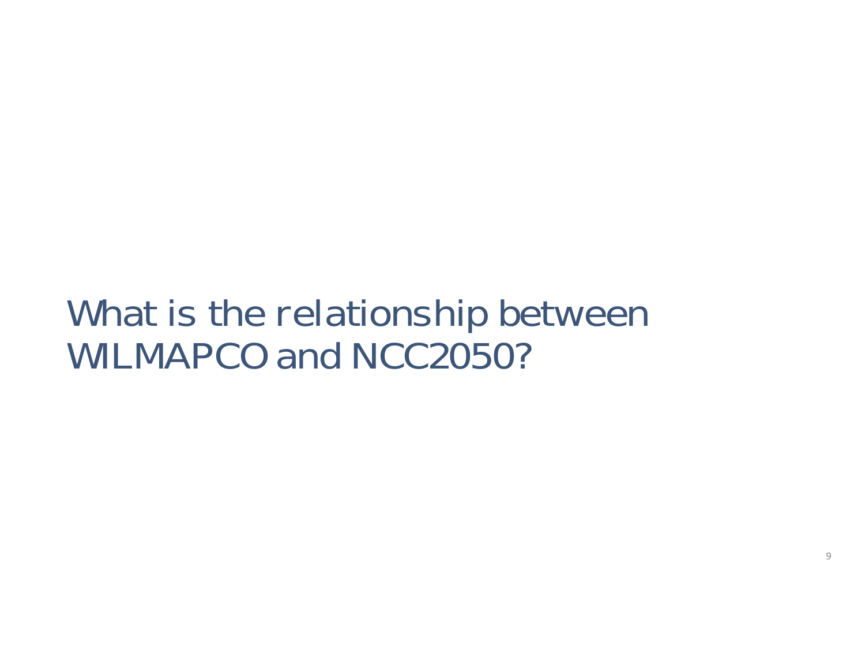#### What is the relationship between WILMAPCO and NCC2050?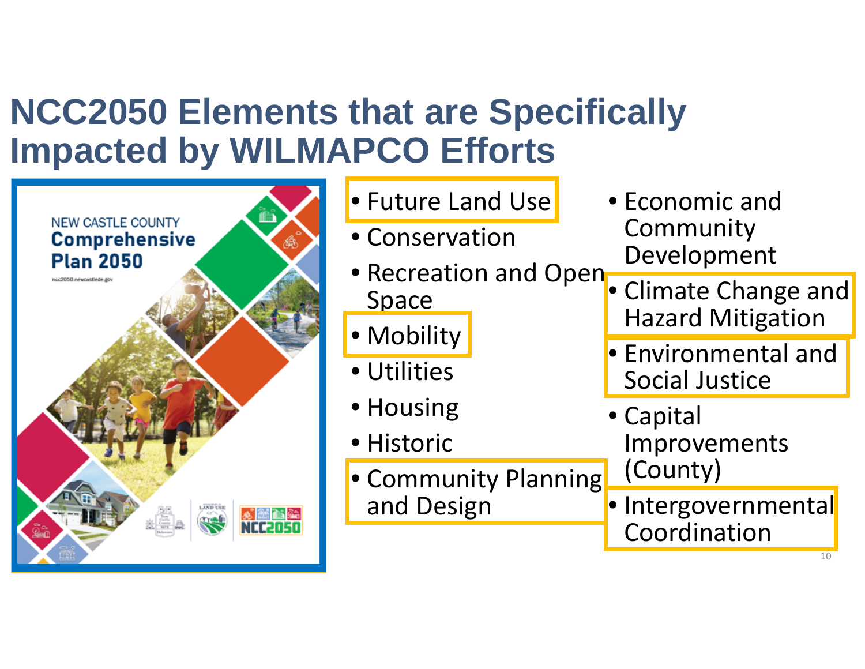#### **NCC2050 Elements that are Specifically Impacted by WILMAPCO Efforts**

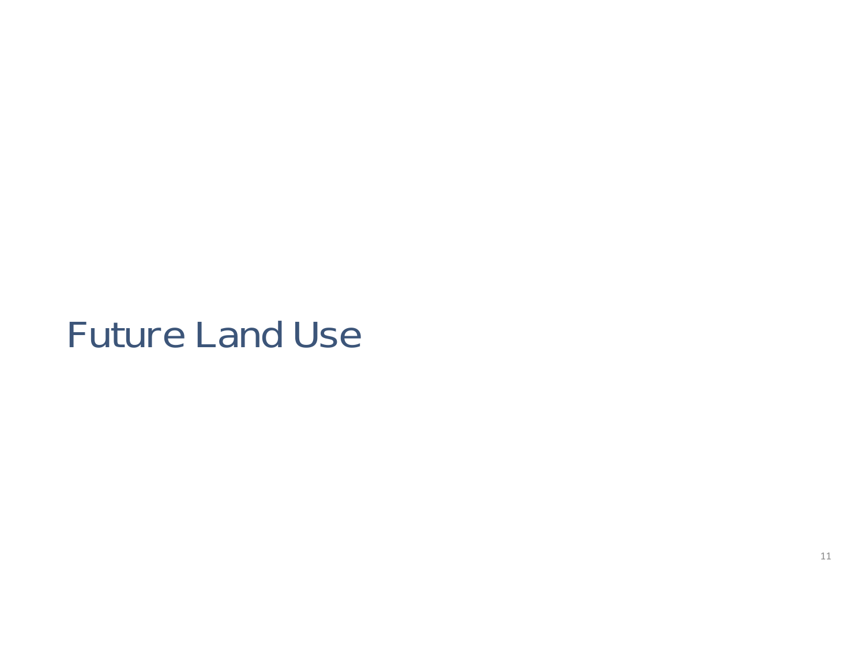#### Future Land Use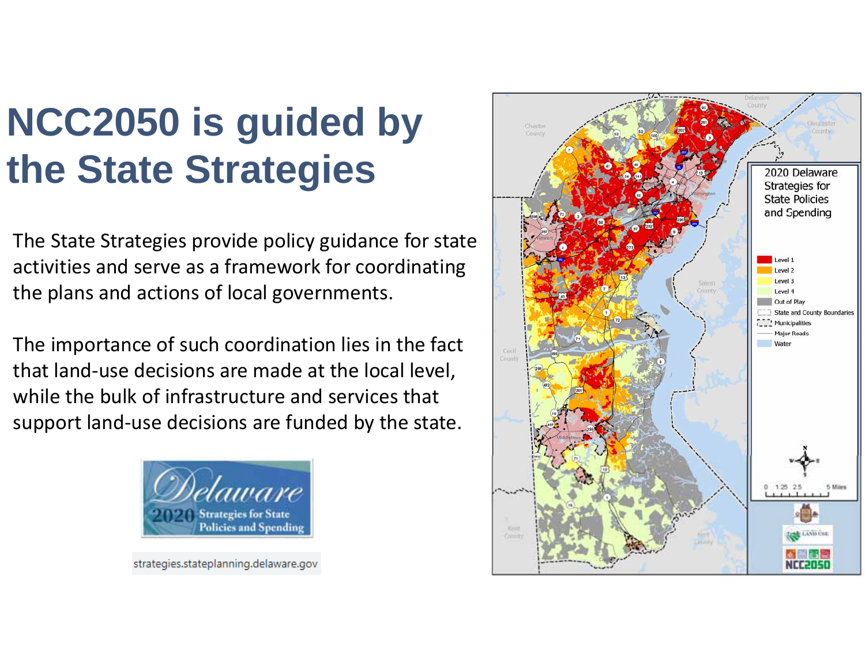### **NCC2050 is guided by the State Strategies**

The State Strategies provide policy guidance for state activities and serve as a framework for coordinating the plans and actions of local governments.

The importance of such coordination lies in the fact that land ‐use decisions are made at the local level, while the bulk of infrastructure and services that support land ‐use decisions are funded by the state.



strategies.stateplanning.delaware.gov

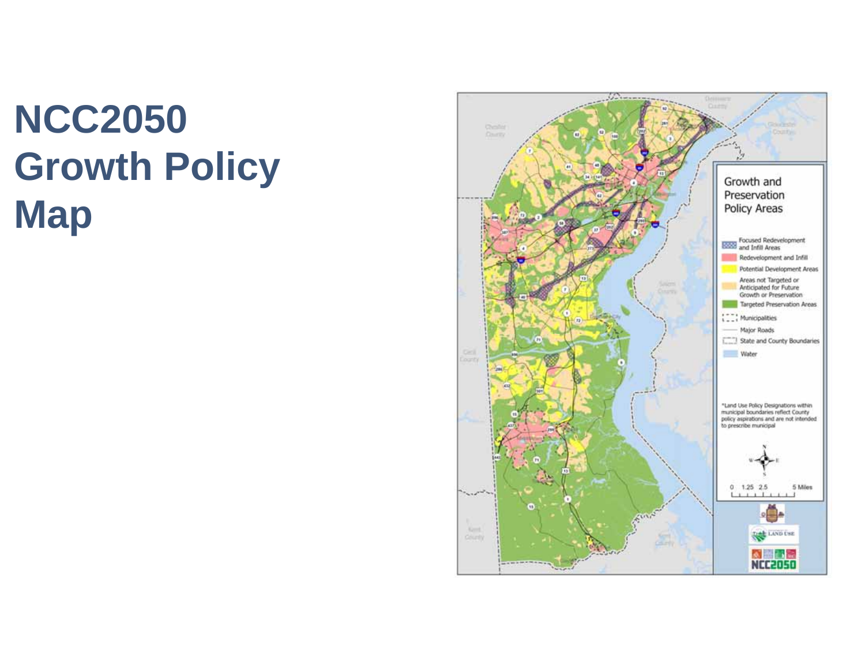### **NCC2050 Growth Policy Map**

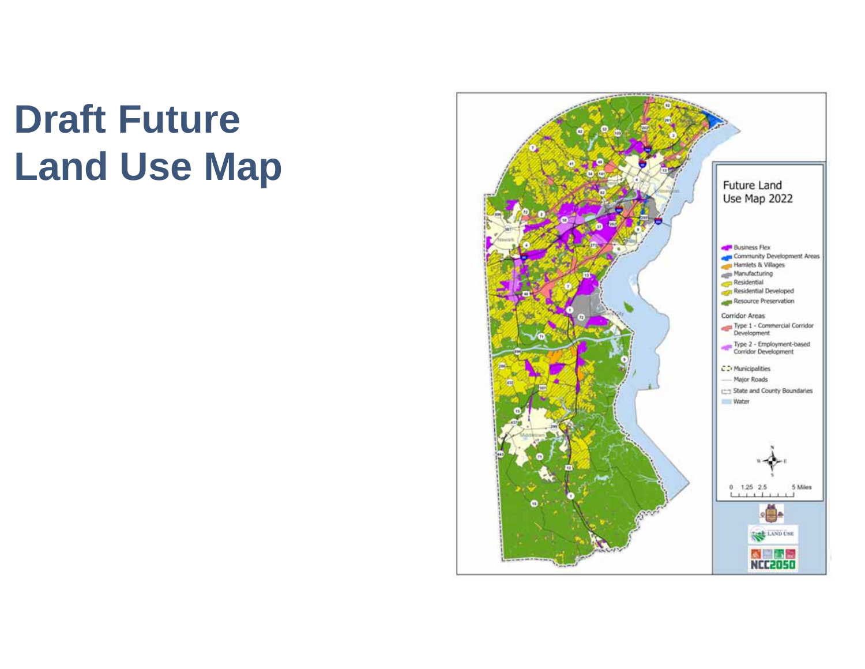### **Draft Future Land Use Map**

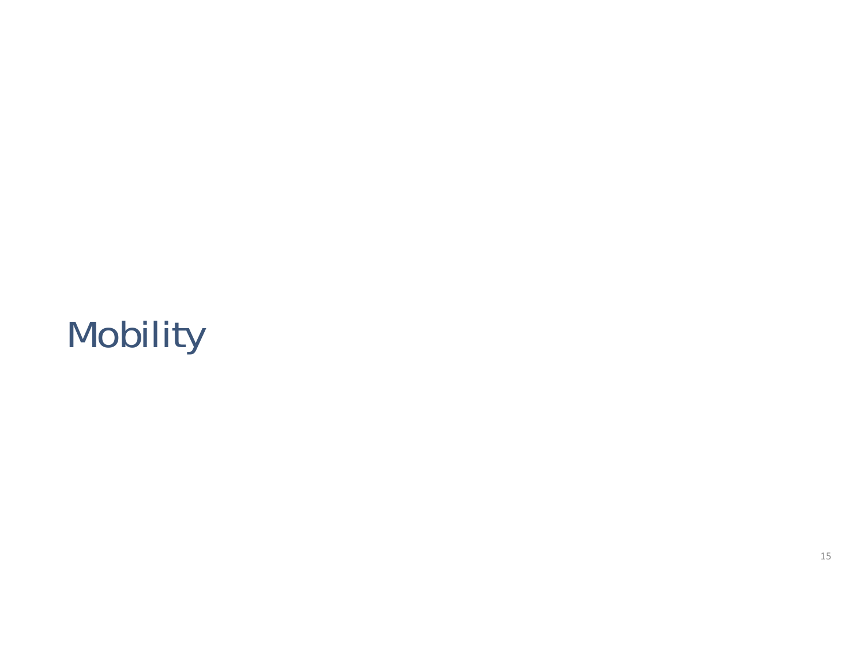### Mobility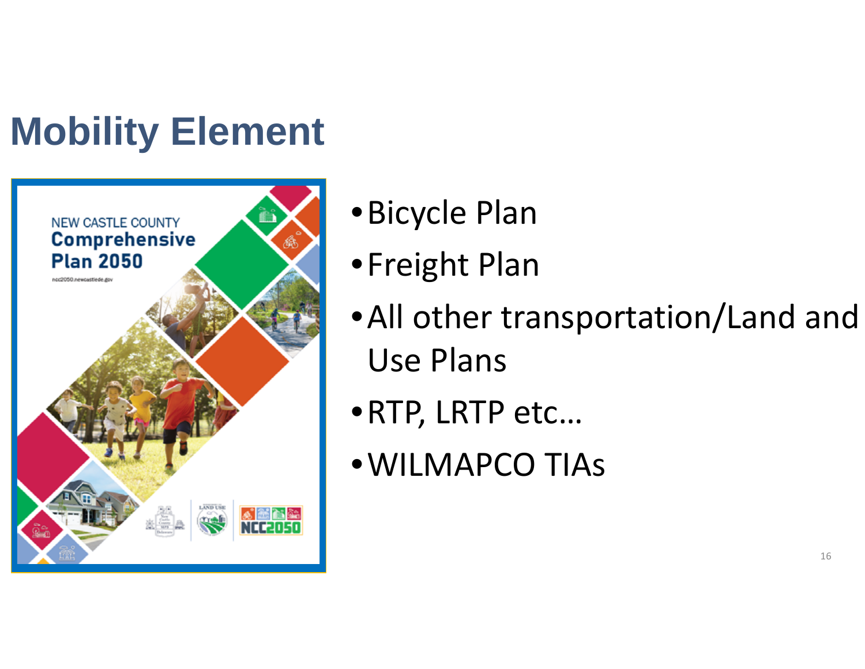## **Mobility Element**



- •Bicycle Plan
- •Freight Plan
- •All other transportation/Land and Use Plans
- •RTP, LRTP etc…
- •WILMAPCO TIAs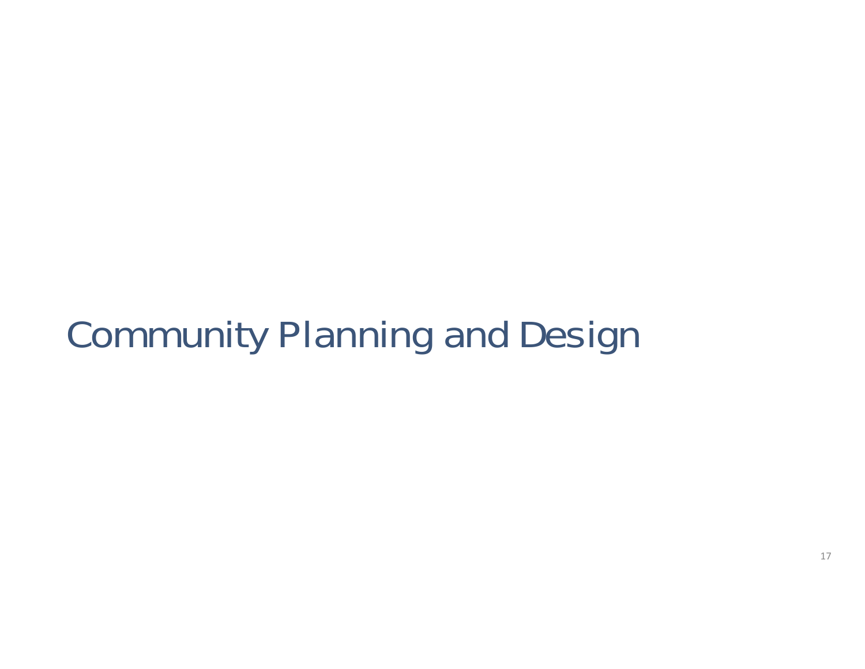#### Community Planning and Design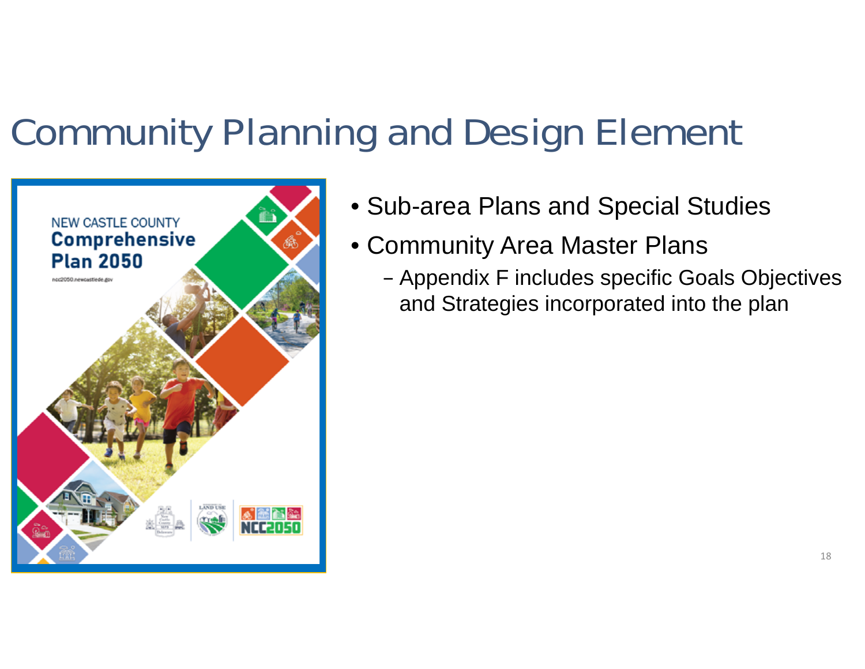#### Community Planning and Design Element



- Sub-area Plans and Special Studies
- Community Area Master Plans
	- Appendix F includes specific Goals Objectives and Strategies incorporated into the plan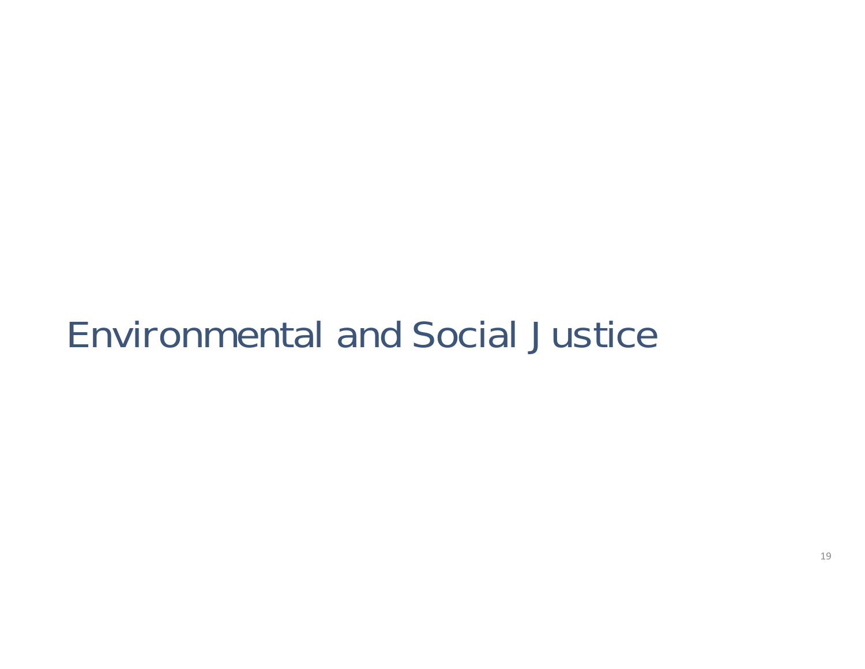#### Environmental and Social Justice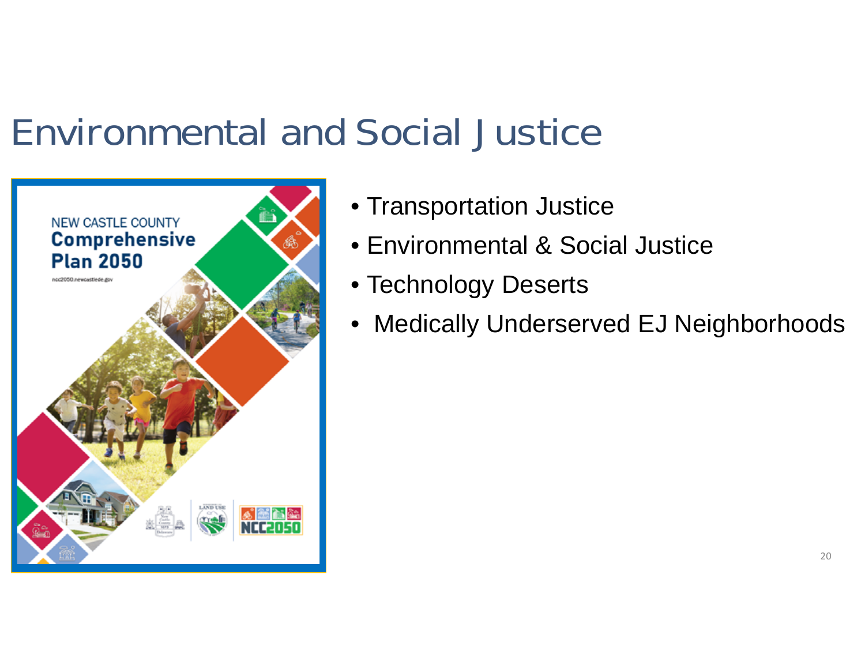#### Environmental and Social Justice



- Transportation Justice
- Environmental & Social Justice
- Technology Deserts
- $\bullet$ Medically Underserved EJ Neighborhoods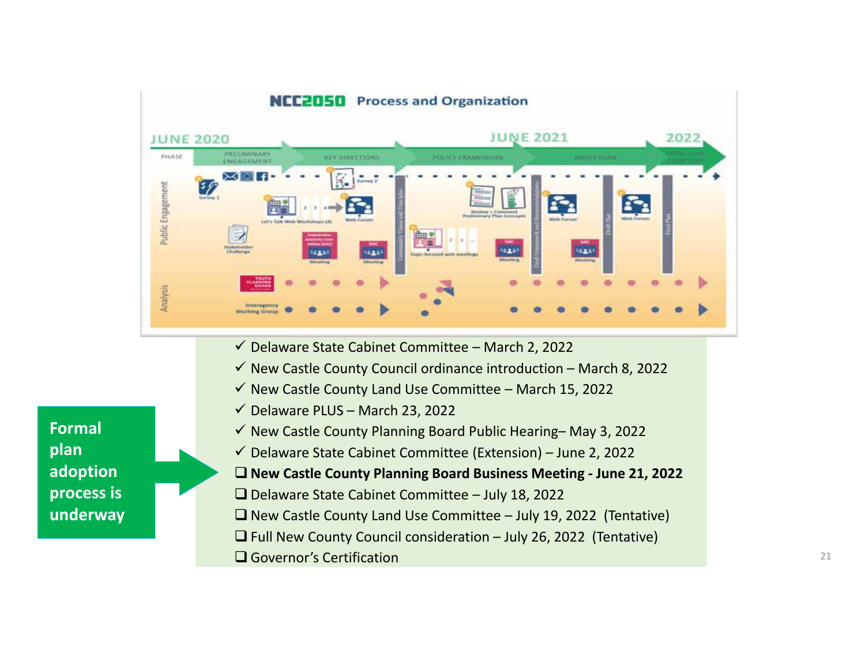